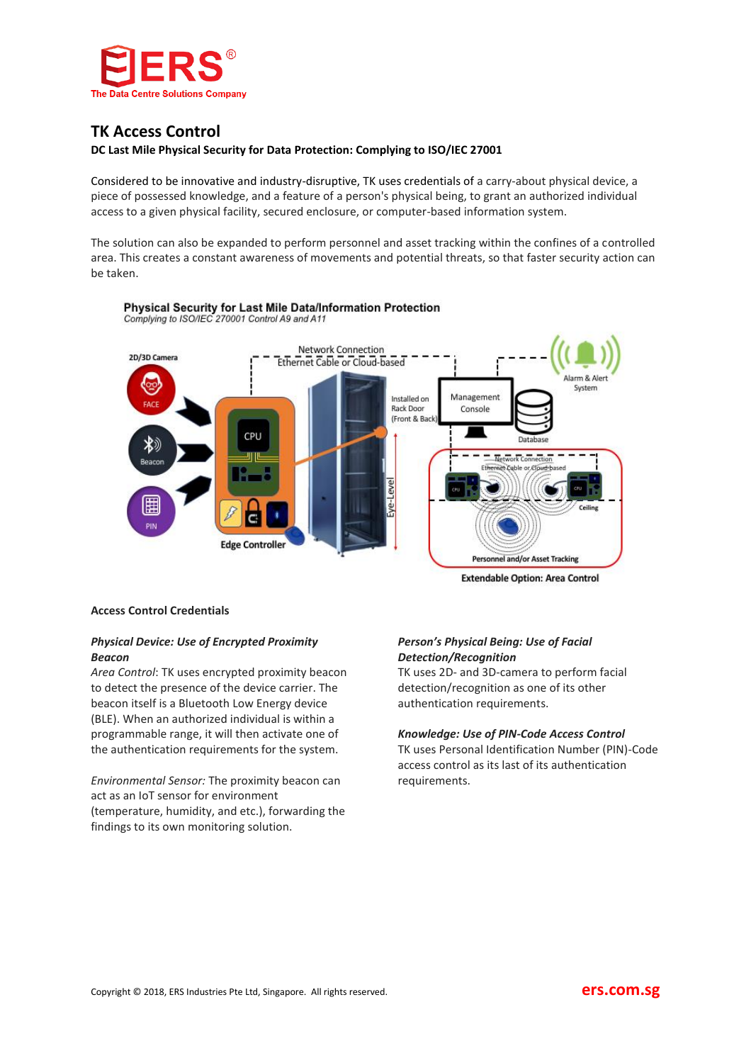

# **TK Access Control**

## **DC Last Mile Physical Security for Data Protection: Complying to ISO/IEC 27001**

Considered to be innovative and industry-disruptive, TK uses credentials of a carry-about physical device, a piece of possessed knowledge, and a feature of a person's physical being, to grant an authorized individual access to a given physical facility, secured enclosure, or computer-based information system.

The solution can also be expanded to perform personnel and asset tracking within the confines of a controlled area. This creates a constant awareness of movements and potential threats, so that faster security action can be taken.



Complying to ISO/IEC 270001 Control A9 and A11

Physical Security for Last Mile Data/Information Protection

**Extendable Option: Area Control** 

## **Access Control Credentials**

# *Physical Device: Use of Encrypted Proximity Beacon*

*Area Control*: TK uses encrypted proximity beacon to detect the presence of the device carrier. The beacon itself is a Bluetooth Low Energy device (BLE). When an authorized individual is within a programmable range, it will then activate one of the authentication requirements for the system.

*Environmental Sensor:* The proximity beacon can act as an IoT sensor for environment (temperature, humidity, and etc.), forwarding the findings to its own monitoring solution.

# *Person's Physical Being: Use of Facial Detection/Recognition*

TK uses 2D- and 3D-camera to perform facial detection/recognition as one of its other authentication requirements.

## *Knowledge: Use of PIN-Code Access Control*

TK uses Personal Identification Number (PIN)-Code access control as its last of its authentication requirements.